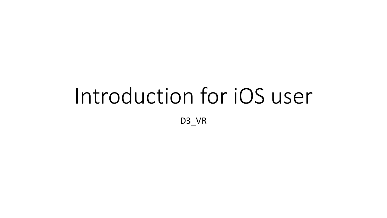## Introduction for iOS user D3\_VR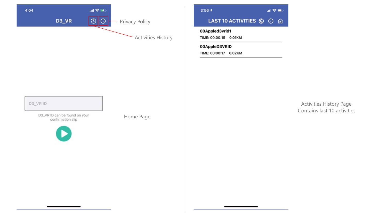



## 00Appled3vrid1

TIME: 00:00:15 0.01KM

00AppleD3VRID TIME: 00:00:17 0.02KM

D3\_VRID

D3\_VR ID can be found on your<br>confirmation slip



Home Page

Activities History Page Contains last 10 activities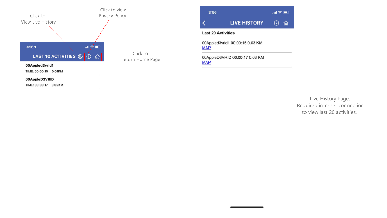

3:56  $\mathbf{m} \otimes \mathbf{m}$ **LIVE HISTORY**  $0$   $\Omega$ 

### **Last 20 Activities**

00Appled3vrid1 00:00:15 0.03 KM **MAP** 

00AppleD3VRID 00:00:17 0.03 KM **MAP** 

> Live History Page. Required internet connectior to view last 20 activities.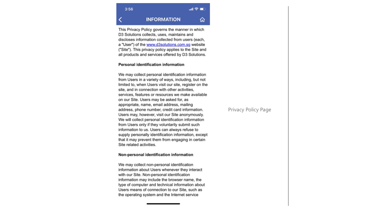## 교 종 ■ **INFORMATION** ⋒

This Privacy Policy governs the manner in which D3 Solutions collects, uses, maintains and discloses information collected from users (each, a "User") of the www.d3solutions.com.sg website ("Site"). This privacy policy applies to the Site and all products and services offered by D3 Solutions.

#### Personal identification information

 $3:56$ 

We may collect personal identification information from Users in a variety of ways, including, but not limited to, when Users visit our site, register on the site, and in connection with other activities, services, features or resources we make available on our Site. Users may be asked for, as appropriate, name, email address, mailing address, phone number, credit card information. Users may, however, visit our Site anonymously. We will collect personal identification information from Users only if they voluntarily submit such information to us. Users can always refuse to supply personally identification information, except that it may prevent them from engaging in certain Site related activities.

#### Non-personal identification information

We may collect non-personal identification information about Users whenever they interact with our Site. Non-personal identification information may include the browser name, the type of computer and technical information about Users means of connection to our Site, such as the operating system and the Internet service

## **Privacy Policy Page**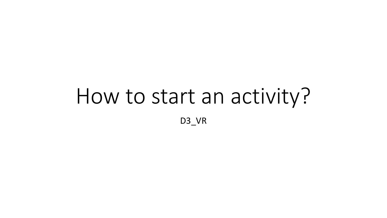# How to start an activity?

D3\_VR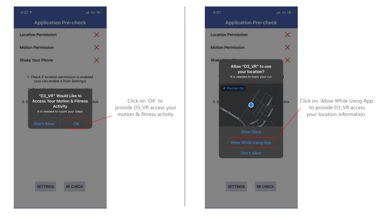

**SETTINGS** 

**RE CHECK** 

Click on 'OK' to



Click on 'Allow While Using App ' to provide D 3 \_VR access your location information .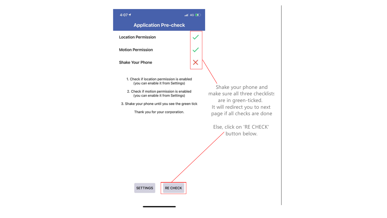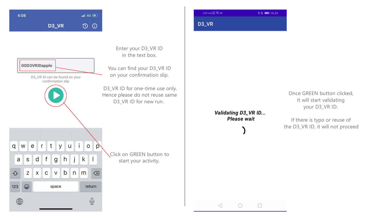

| $SOS$ only $[0]$ 完 阿 | $$R = 16:24$ |
|----------------------|--------------|
| D <sub>3</sub> VR    |              |



in the text box.

Enter your D3\_VR ID

You can find your D3\_VR ID on your confirmation slip.

D3\_VR ID for one-time use only. Hence please do not reuse same D3\_VR ID for new run.

> Validating D3\_VR ID... Please wait

> > $\bigcirc$

 $\Box$ 

 $\triangleleft$ 

Once GREEN button clicked, It will start validating your D3\_VR ID.

If there is typo or reuse of the D3\_VR ID, it will not proceed.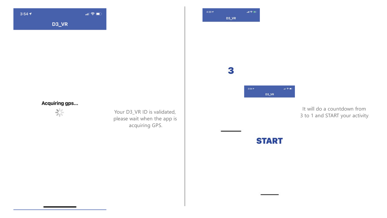



## 3



It will do a countdown from 3 to 1 and START your activity .

## Acquiring gps...



Your D 3 \_VR ID is validated, please wait when the app is acquiring GPS .

## **START**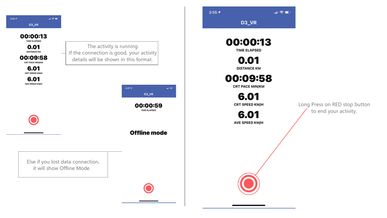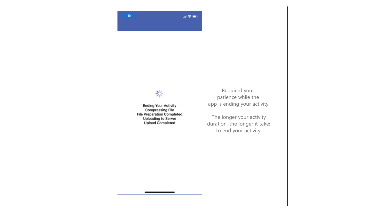

## $\frac{\Delta^2 \zeta}{\Delta^2}$

**Ending Your Activity Compressing File File Preparation Completed Uploading to Server Upload Completed** 

Required your patience while the app is ending your activity.

The longer your activity duration, the longer it takes to end your activity.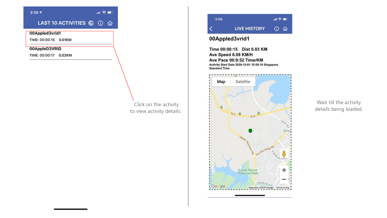$3:567$ 

#### $\mathbf{m} \otimes \mathbf{m}$

## LAST 10 ACTIVITIES ⑥ ① 命

00Appled3vrid1

TIME: 00:00:15 0.01KM

00AppleD3VRID

TIME: 00:00:17 0.02KM

## Click on the activity to view activity details.



## 00Appled3vrid1

Time 00:00:15 Dist 0.03 KM Ave Speed 6.08 KM/H Ave Pace 00:9:52 Time/KM Activity Start Date 2020-12-01 15:56:18 Singapore **Standard Time** 



Wait till the activity details being loaded.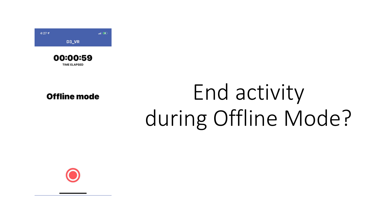



**Offline mode** 

## End activity during Offline Mode?

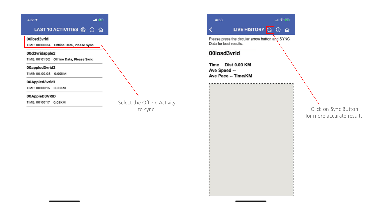

Select the Offline Activity to sync



00iosd3vrid

Time Dist 0.00 KM Ave Speed --Ave Pace -- Time/KM

> . Click on Sync Button for more accurate results .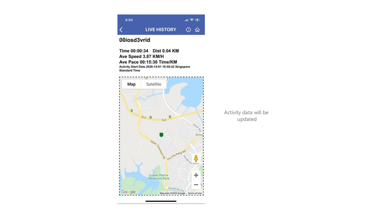

## 00iosd3vrid

Time 00:00:34 Dist 0.04 KM Ave Speed 3.87 KM/H Ave Pace 00:15:30 Time/KM Activity Start Date 2020-12-01 16:50:42 Singapore **Standard Time** 



Activity data will be updated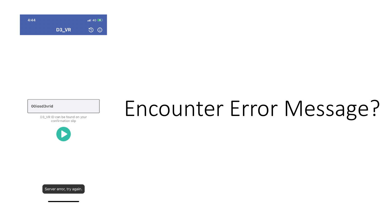

## 00iosd3vrid

D3\_VR ID can be found on your confirmation slip



## Encounter Error Message?

Server error, try again.